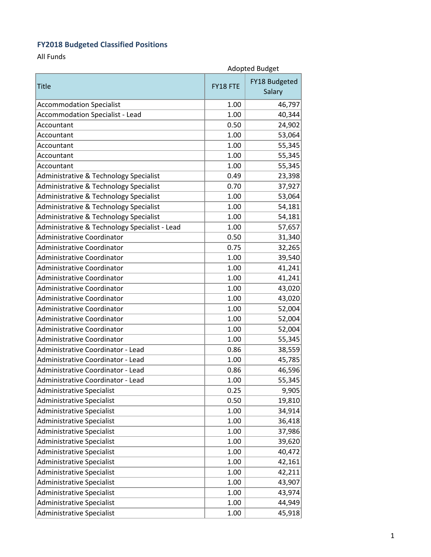## **FY2018 Budgeted Classified Positions**

All Funds

| <b>Adopted Budget</b>                         |          |                         |
|-----------------------------------------------|----------|-------------------------|
| <b>Title</b>                                  | FY18 FTE | FY18 Budgeted<br>Salary |
| <b>Accommodation Specialist</b>               | 1.00     | 46,797                  |
| <b>Accommodation Specialist - Lead</b>        | 1.00     | 40,344                  |
| Accountant                                    | 0.50     | 24,902                  |
| Accountant                                    | 1.00     | 53,064                  |
| Accountant                                    | 1.00     | 55,345                  |
| Accountant                                    | 1.00     | 55,345                  |
| Accountant                                    | 1.00     | 55,345                  |
| Administrative & Technology Specialist        | 0.49     | 23,398                  |
| Administrative & Technology Specialist        | 0.70     | 37,927                  |
| Administrative & Technology Specialist        | 1.00     | 53,064                  |
| Administrative & Technology Specialist        | 1.00     | 54,181                  |
| Administrative & Technology Specialist        | 1.00     | 54,181                  |
| Administrative & Technology Specialist - Lead | 1.00     | 57,657                  |
| <b>Administrative Coordinator</b>             | 0.50     | 31,340                  |
| <b>Administrative Coordinator</b>             | 0.75     | 32,265                  |
| Administrative Coordinator                    | 1.00     | 39,540                  |
| Administrative Coordinator                    | 1.00     | 41,241                  |
| <b>Administrative Coordinator</b>             | 1.00     | 41,241                  |
| <b>Administrative Coordinator</b>             | 1.00     | 43,020                  |
| Administrative Coordinator                    | 1.00     | 43,020                  |
| Administrative Coordinator                    | 1.00     | 52,004                  |
| Administrative Coordinator                    | 1.00     | 52,004                  |
| <b>Administrative Coordinator</b>             | 1.00     | 52,004                  |
| Administrative Coordinator                    | 1.00     | 55,345                  |
| Administrative Coordinator - Lead             | 0.86     | 38,559                  |
| Administrative Coordinator - Lead             | 1.00     | 45,785                  |
| Administrative Coordinator - Lead             | 0.86     | 46,596                  |
| Administrative Coordinator - Lead             | 1.00     | 55,345                  |
| <b>Administrative Specialist</b>              | 0.25     | 9,905                   |
| <b>Administrative Specialist</b>              | 0.50     | 19,810                  |
| <b>Administrative Specialist</b>              | 1.00     | 34,914                  |
| <b>Administrative Specialist</b>              | 1.00     | 36,418                  |
| <b>Administrative Specialist</b>              | 1.00     | 37,986                  |
| <b>Administrative Specialist</b>              | 1.00     | 39,620                  |
| <b>Administrative Specialist</b>              | 1.00     | 40,472                  |
| <b>Administrative Specialist</b>              | 1.00     | 42,161                  |
| <b>Administrative Specialist</b>              | 1.00     | 42,211                  |
| <b>Administrative Specialist</b>              | 1.00     | 43,907                  |
| Administrative Specialist                     | 1.00     | 43,974                  |
| <b>Administrative Specialist</b>              | 1.00     | 44,949                  |
| Administrative Specialist                     | 1.00     | 45,918                  |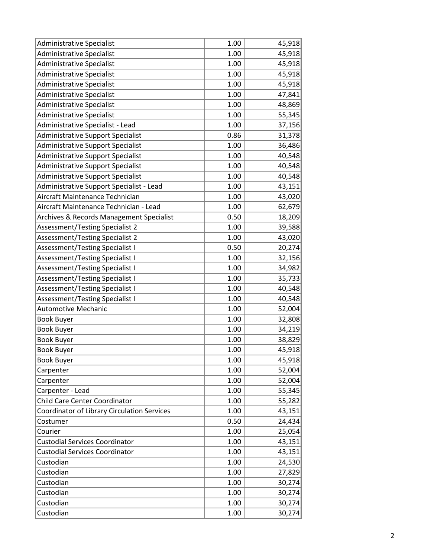| <b>Administrative Specialist</b>            | 1.00 | 45,918 |
|---------------------------------------------|------|--------|
| <b>Administrative Specialist</b>            | 1.00 | 45,918 |
| Administrative Specialist                   | 1.00 | 45,918 |
| <b>Administrative Specialist</b>            | 1.00 | 45,918 |
| <b>Administrative Specialist</b>            | 1.00 | 45,918 |
| <b>Administrative Specialist</b>            | 1.00 | 47,841 |
| <b>Administrative Specialist</b>            | 1.00 | 48,869 |
| <b>Administrative Specialist</b>            | 1.00 | 55,345 |
| Administrative Specialist - Lead            | 1.00 | 37,156 |
| Administrative Support Specialist           | 0.86 | 31,378 |
| <b>Administrative Support Specialist</b>    | 1.00 | 36,486 |
| Administrative Support Specialist           | 1.00 | 40,548 |
| Administrative Support Specialist           | 1.00 | 40,548 |
| Administrative Support Specialist           | 1.00 | 40,548 |
| Administrative Support Specialist - Lead    | 1.00 | 43,151 |
| Aircraft Maintenance Technician             | 1.00 | 43,020 |
| Aircraft Maintenance Technician - Lead      | 1.00 | 62,679 |
| Archives & Records Management Specialist    | 0.50 | 18,209 |
| Assessment/Testing Specialist 2             | 1.00 | 39,588 |
| Assessment/Testing Specialist 2             | 1.00 | 43,020 |
| <b>Assessment/Testing Specialist I</b>      | 0.50 | 20,274 |
| Assessment/Testing Specialist I             | 1.00 | 32,156 |
| Assessment/Testing Specialist I             | 1.00 | 34,982 |
| Assessment/Testing Specialist I             | 1.00 | 35,733 |
| Assessment/Testing Specialist I             | 1.00 | 40,548 |
| <b>Assessment/Testing Specialist I</b>      | 1.00 | 40,548 |
| <b>Automotive Mechanic</b>                  | 1.00 | 52,004 |
| <b>Book Buyer</b>                           | 1.00 | 32,808 |
| <b>Book Buyer</b>                           | 1.00 | 34,219 |
| <b>Book Buyer</b>                           | 1.00 | 38,829 |
| <b>Book Buyer</b>                           | 1.00 | 45,918 |
| <b>Book Buyer</b>                           | 1.00 | 45,918 |
| Carpenter                                   | 1.00 | 52,004 |
| Carpenter                                   | 1.00 | 52,004 |
| Carpenter - Lead                            | 1.00 | 55,345 |
| <b>Child Care Center Coordinator</b>        | 1.00 | 55,282 |
| Coordinator of Library Circulation Services | 1.00 | 43,151 |
| Costumer                                    | 0.50 | 24,434 |
| Courier                                     | 1.00 | 25,054 |
| <b>Custodial Services Coordinator</b>       | 1.00 | 43,151 |
| <b>Custodial Services Coordinator</b>       | 1.00 | 43,151 |
| Custodian                                   | 1.00 | 24,530 |
| Custodian                                   | 1.00 | 27,829 |
| Custodian                                   | 1.00 | 30,274 |
| Custodian                                   | 1.00 | 30,274 |
| Custodian                                   | 1.00 | 30,274 |
| Custodian                                   |      | 30,274 |
|                                             | 1.00 |        |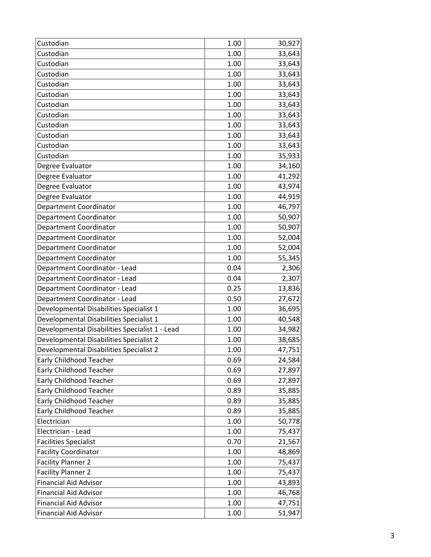| Custodian                                      | 1.00 | 30,927 |
|------------------------------------------------|------|--------|
| Custodian                                      | 1.00 | 33,643 |
| Custodian                                      | 1.00 | 33,643 |
| Custodian                                      | 1.00 | 33,643 |
| Custodian                                      | 1.00 | 33,643 |
| Custodian                                      | 1.00 | 33,643 |
| Custodian                                      | 1.00 | 33,643 |
| Custodian                                      | 1.00 | 33,643 |
| Custodian                                      | 1.00 | 33,643 |
| Custodian                                      | 1.00 | 33,643 |
| Custodian                                      | 1.00 | 33,643 |
| Custodian                                      | 1.00 | 35,933 |
| Degree Evaluator                               | 1.00 | 34,160 |
| Degree Evaluator                               | 1.00 | 41,292 |
| Degree Evaluator                               | 1.00 | 43,974 |
| Degree Evaluator                               | 1.00 | 44,919 |
| Department Coordinator                         | 1.00 | 46,797 |
| <b>Department Coordinator</b>                  | 1.00 | 50,907 |
| Department Coordinator                         | 1.00 | 50,907 |
| Department Coordinator                         | 1.00 | 52,004 |
| Department Coordinator                         | 1.00 | 52,004 |
| Department Coordinator                         | 1.00 | 55,345 |
| Department Coordinator - Lead                  | 0.04 | 2,306  |
| Department Coordinator - Lead                  | 0.04 | 2,307  |
| Department Coordinator - Lead                  | 0.25 | 13,836 |
| Department Coordinator - Lead                  | 0.50 | 27,672 |
| Developmental Disabilities Specialist 1        | 1.00 | 36,695 |
| Developmental Disabilities Specialist 1        | 1.00 | 40,548 |
| Developmental Disabilities Specialist 1 - Lead | 1.00 | 34,982 |
| Developmental Disabilities Specialist 2        | 1.00 | 38,685 |
| Developmental Disabilities Specialist 2        | 1.00 | 47,751 |
| Early Childhood Teacher                        | 0.69 | 24,584 |
| <b>Early Childhood Teacher</b>                 | 0.69 | 27,897 |
| <b>Early Childhood Teacher</b>                 | 0.69 | 27,897 |
| <b>Early Childhood Teacher</b>                 | 0.89 | 35,885 |
| <b>Early Childhood Teacher</b>                 | 0.89 | 35,885 |
| Early Childhood Teacher                        | 0.89 | 35,885 |
| Electrician                                    | 1.00 | 50,778 |
| Electrician - Lead                             | 1.00 | 75,437 |
| <b>Facilities Specialist</b>                   | 0.70 | 21,567 |
| <b>Facility Coordinator</b>                    | 1.00 | 48,869 |
| <b>Facility Planner 2</b>                      | 1.00 | 75,437 |
| <b>Facility Planner 2</b>                      | 1.00 | 75,437 |
| <b>Financial Aid Advisor</b>                   | 1.00 | 43,893 |
| <b>Financial Aid Advisor</b>                   | 1.00 | 46,768 |
| <b>Financial Aid Advisor</b>                   | 1.00 | 47,751 |
| <b>Financial Aid Advisor</b>                   | 1.00 | 51,947 |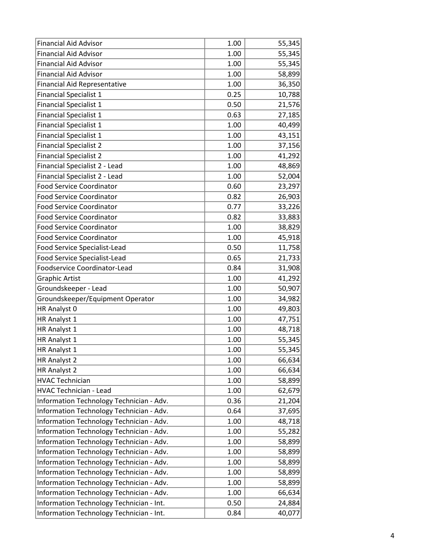| <b>Financial Aid Advisor</b>             | 1.00 | 55,345 |
|------------------------------------------|------|--------|
| <b>Financial Aid Advisor</b>             | 1.00 | 55,345 |
| <b>Financial Aid Advisor</b>             | 1.00 | 55,345 |
| <b>Financial Aid Advisor</b>             | 1.00 | 58,899 |
| <b>Financial Aid Representative</b>      | 1.00 | 36,350 |
| <b>Financial Specialist 1</b>            | 0.25 | 10,788 |
| <b>Financial Specialist 1</b>            | 0.50 | 21,576 |
| <b>Financial Specialist 1</b>            | 0.63 | 27,185 |
| <b>Financial Specialist 1</b>            | 1.00 | 40,499 |
| <b>Financial Specialist 1</b>            | 1.00 | 43,151 |
| <b>Financial Specialist 2</b>            | 1.00 | 37,156 |
| <b>Financial Specialist 2</b>            | 1.00 | 41,292 |
| Financial Specialist 2 - Lead            | 1.00 | 48,869 |
| Financial Specialist 2 - Lead            | 1.00 | 52,004 |
| <b>Food Service Coordinator</b>          | 0.60 | 23,297 |
| <b>Food Service Coordinator</b>          | 0.82 | 26,903 |
| <b>Food Service Coordinator</b>          | 0.77 | 33,226 |
| <b>Food Service Coordinator</b>          | 0.82 | 33,883 |
| <b>Food Service Coordinator</b>          | 1.00 | 38,829 |
| <b>Food Service Coordinator</b>          | 1.00 | 45,918 |
| Food Service Specialist-Lead             | 0.50 | 11,758 |
| Food Service Specialist-Lead             | 0.65 | 21,733 |
| Foodservice Coordinator-Lead             | 0.84 | 31,908 |
| <b>Graphic Artist</b>                    | 1.00 | 41,292 |
| Groundskeeper - Lead                     | 1.00 | 50,907 |
| Groundskeeper/Equipment Operator         | 1.00 | 34,982 |
| HR Analyst 0                             | 1.00 | 49,803 |
| HR Analyst 1                             | 1.00 | 47,751 |
| HR Analyst 1                             | 1.00 | 48,718 |
| HR Analyst 1                             | 1.00 | 55,345 |
| HR Analyst 1                             | 1.00 | 55,345 |
| HR Analyst 2                             | 1.00 | 66,634 |
| HR Analyst 2                             | 1.00 | 66,634 |
| <b>HVAC Technician</b>                   | 1.00 | 58,899 |
| <b>HVAC Technician - Lead</b>            | 1.00 | 62,679 |
| Information Technology Technician - Adv. | 0.36 | 21,204 |
| Information Technology Technician - Adv. | 0.64 | 37,695 |
| Information Technology Technician - Adv. | 1.00 | 48,718 |
| Information Technology Technician - Adv. | 1.00 | 55,282 |
| Information Technology Technician - Adv. | 1.00 | 58,899 |
| Information Technology Technician - Adv. | 1.00 | 58,899 |
| Information Technology Technician - Adv. | 1.00 | 58,899 |
| Information Technology Technician - Adv. | 1.00 | 58,899 |
| Information Technology Technician - Adv. | 1.00 | 58,899 |
| Information Technology Technician - Adv. | 1.00 | 66,634 |
| Information Technology Technician - Int. | 0.50 | 24,884 |
| Information Technology Technician - Int. | 0.84 | 40,077 |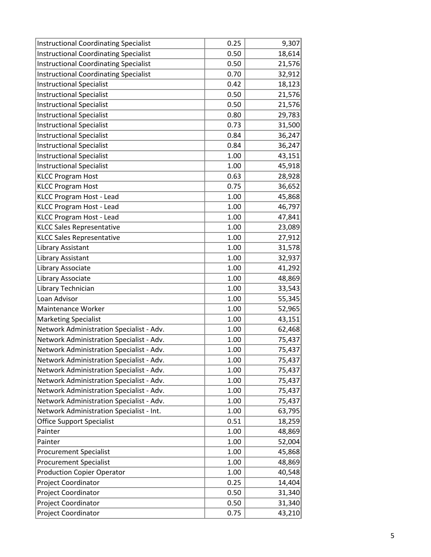| <b>Instructional Coordinating Specialist</b> | 0.25 | 9,307  |
|----------------------------------------------|------|--------|
| <b>Instructional Coordinating Specialist</b> | 0.50 | 18,614 |
| <b>Instructional Coordinating Specialist</b> | 0.50 | 21,576 |
| <b>Instructional Coordinating Specialist</b> | 0.70 | 32,912 |
| <b>Instructional Specialist</b>              | 0.42 | 18,123 |
| <b>Instructional Specialist</b>              | 0.50 | 21,576 |
| <b>Instructional Specialist</b>              | 0.50 | 21,576 |
| <b>Instructional Specialist</b>              | 0.80 | 29,783 |
| <b>Instructional Specialist</b>              | 0.73 | 31,500 |
| <b>Instructional Specialist</b>              | 0.84 | 36,247 |
| <b>Instructional Specialist</b>              | 0.84 | 36,247 |
| <b>Instructional Specialist</b>              | 1.00 | 43,151 |
| <b>Instructional Specialist</b>              | 1.00 | 45,918 |
| <b>KLCC Program Host</b>                     | 0.63 | 28,928 |
| <b>KLCC Program Host</b>                     | 0.75 | 36,652 |
| KLCC Program Host - Lead                     | 1.00 | 45,868 |
| KLCC Program Host - Lead                     | 1.00 | 46,797 |
| KLCC Program Host - Lead                     | 1.00 | 47,841 |
| <b>KLCC Sales Representative</b>             | 1.00 | 23,089 |
| <b>KLCC Sales Representative</b>             | 1.00 | 27,912 |
| Library Assistant                            | 1.00 | 31,578 |
| Library Assistant                            | 1.00 | 32,937 |
| Library Associate                            | 1.00 | 41,292 |
| Library Associate                            | 1.00 | 48,869 |
| Library Technician                           | 1.00 | 33,543 |
| Loan Advisor                                 | 1.00 | 55,345 |
| Maintenance Worker                           | 1.00 | 52,965 |
| <b>Marketing Specialist</b>                  | 1.00 | 43,151 |
| Network Administration Specialist - Adv.     | 1.00 | 62,468 |
| Network Administration Specialist - Adv.     | 1.00 | 75,437 |
| Network Administration Specialist - Adv.     | 1.00 | 75,437 |
| Network Administration Specialist - Adv.     | 1.00 | 75,437 |
| Network Administration Specialist - Adv.     | 1.00 | 75,437 |
| Network Administration Specialist - Adv.     | 1.00 | 75,437 |
| Network Administration Specialist - Adv.     | 1.00 | 75,437 |
| Network Administration Specialist - Adv.     | 1.00 | 75,437 |
| Network Administration Specialist - Int.     | 1.00 | 63,795 |
| <b>Office Support Specialist</b>             | 0.51 | 18,259 |
| Painter                                      | 1.00 | 48,869 |
| Painter                                      | 1.00 | 52,004 |
| <b>Procurement Specialist</b>                | 1.00 | 45,868 |
| <b>Procurement Specialist</b>                | 1.00 | 48,869 |
| <b>Production Copier Operator</b>            | 1.00 | 40,548 |
| Project Coordinator                          | 0.25 | 14,404 |
| Project Coordinator                          | 0.50 | 31,340 |
| Project Coordinator                          | 0.50 | 31,340 |
| Project Coordinator                          | 0.75 | 43,210 |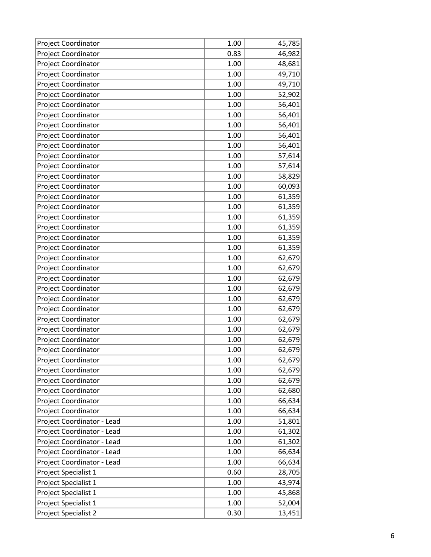| <b>Project Coordinator</b> | 1.00     | 45,785 |
|----------------------------|----------|--------|
| Project Coordinator        | 0.83     | 46,982 |
| Project Coordinator        | 1.00     | 48,681 |
| Project Coordinator        | 1.00     | 49,710 |
| Project Coordinator        | 1.00     | 49,710 |
| Project Coordinator        | 1.00     | 52,902 |
| Project Coordinator        | 1.00     | 56,401 |
| Project Coordinator        | 1.00     | 56,401 |
| Project Coordinator        | 1.00     | 56,401 |
| Project Coordinator        | 1.00     | 56,401 |
| Project Coordinator        | 1.00     | 56,401 |
| Project Coordinator        | 1.00     | 57,614 |
| Project Coordinator        | 1.00     | 57,614 |
| Project Coordinator        | 1.00     | 58,829 |
| Project Coordinator        | 1.00     | 60,093 |
| Project Coordinator        | 1.00     | 61,359 |
| Project Coordinator        | 1.00     | 61,359 |
| Project Coordinator        | 1.00     | 61,359 |
| Project Coordinator        | 1.00     | 61,359 |
| Project Coordinator        | 1.00     | 61,359 |
| Project Coordinator        | 1.00     | 61,359 |
| Project Coordinator        | 1.00     | 62,679 |
| Project Coordinator        | 1.00     | 62,679 |
| Project Coordinator        | 1.00     | 62,679 |
| Project Coordinator        | 1.00     | 62,679 |
| Project Coordinator        | 1.00     | 62,679 |
| Project Coordinator        | 1.00     | 62,679 |
| Project Coordinator        | 1.00     | 62,679 |
| Project Coordinator        | 1.00     | 62,679 |
| Project Coordinator        | 1.00     | 62,679 |
| Project Coordinator        | 1.00     | 62,679 |
| Project Coordinator        | 1.00     | 62,679 |
| Project Coordinator        | 1.00     | 62,679 |
| Project Coordinator        | 1.00     | 62,679 |
| Project Coordinator        | 1.00     | 62,680 |
| Project Coordinator        | 1.00     | 66,634 |
| <b>Project Coordinator</b> | 1.00     | 66,634 |
| Project Coordinator - Lead | $1.00\,$ | 51,801 |
| Project Coordinator - Lead | 1.00     | 61,302 |
| Project Coordinator - Lead | 1.00     | 61,302 |
| Project Coordinator - Lead | 1.00     | 66,634 |
| Project Coordinator - Lead | 1.00     | 66,634 |
| Project Specialist 1       | 0.60     | 28,705 |
| Project Specialist 1       | 1.00     | 43,974 |
| Project Specialist 1       | 1.00     | 45,868 |
| Project Specialist 1       | 1.00     | 52,004 |
| Project Specialist 2       | 0.30     | 13,451 |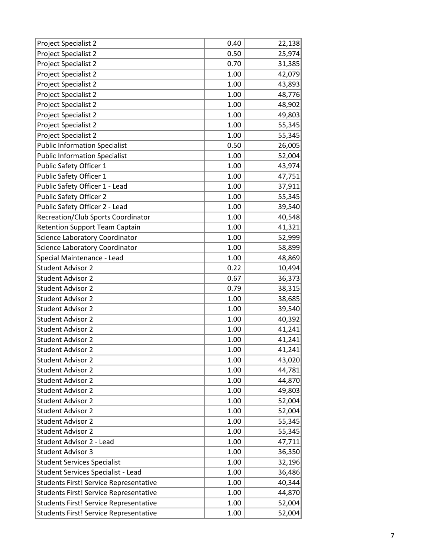| Project Specialist 2                      | 0.40     | 22,138 |
|-------------------------------------------|----------|--------|
| Project Specialist 2                      | 0.50     | 25,974 |
| Project Specialist 2                      | 0.70     | 31,385 |
| Project Specialist 2                      | 1.00     | 42,079 |
| Project Specialist 2                      | 1.00     | 43,893 |
| Project Specialist 2                      | 1.00     | 48,776 |
| Project Specialist 2                      | 1.00     | 48,902 |
| Project Specialist 2                      | 1.00     | 49,803 |
| Project Specialist 2                      | 1.00     | 55,345 |
| Project Specialist 2                      | 1.00     | 55,345 |
| <b>Public Information Specialist</b>      | 0.50     | 26,005 |
| <b>Public Information Specialist</b>      | $1.00\,$ | 52,004 |
| Public Safety Officer 1                   | 1.00     | 43,974 |
| Public Safety Officer 1                   | 1.00     | 47,751 |
| Public Safety Officer 1 - Lead            | 1.00     | 37,911 |
| Public Safety Officer 2                   | 1.00     | 55,345 |
| Public Safety Officer 2 - Lead            | 1.00     | 39,540 |
| <b>Recreation/Club Sports Coordinator</b> | 1.00     | 40,548 |
| <b>Retention Support Team Captain</b>     | 1.00     | 41,321 |
| Science Laboratory Coordinator            | 1.00     | 52,999 |
| Science Laboratory Coordinator            | 1.00     | 58,899 |
| Special Maintenance - Lead                | 1.00     | 48,869 |
| <b>Student Advisor 2</b>                  | 0.22     | 10,494 |
| <b>Student Advisor 2</b>                  | 0.67     | 36,373 |
| <b>Student Advisor 2</b>                  | 0.79     | 38,315 |
| <b>Student Advisor 2</b>                  | 1.00     | 38,685 |
| <b>Student Advisor 2</b>                  | 1.00     | 39,540 |
| <b>Student Advisor 2</b>                  | 1.00     | 40,392 |
| <b>Student Advisor 2</b>                  | 1.00     | 41,241 |
| <b>Student Advisor 2</b>                  | 1.00     | 41,241 |
| <b>Student Advisor 2</b>                  | 1.00     | 41,241 |
| <b>Student Advisor 2</b>                  | 1.00     | 43,020 |
| <b>Student Advisor 2</b>                  | 1.00     | 44,781 |
| <b>Student Advisor 2</b>                  | 1.00     | 44,870 |
| <b>Student Advisor 2</b>                  | 1.00     | 49,803 |
| <b>Student Advisor 2</b>                  | 1.00     | 52,004 |
| <b>Student Advisor 2</b>                  | 1.00     | 52,004 |
| <b>Student Advisor 2</b>                  | 1.00     | 55,345 |
| <b>Student Advisor 2</b>                  | 1.00     | 55,345 |
| <b>Student Advisor 2 - Lead</b>           | 1.00     | 47,711 |
| <b>Student Advisor 3</b>                  | 1.00     | 36,350 |
| <b>Student Services Specialist</b>        | 1.00     | 32,196 |
| Student Services Specialist - Lead        | 1.00     | 36,486 |
| Students First! Service Representative    | 1.00     | 40,344 |
| Students First! Service Representative    | 1.00     | 44,870 |
| Students First! Service Representative    | 1.00     | 52,004 |
| Students First! Service Representative    | 1.00     | 52,004 |